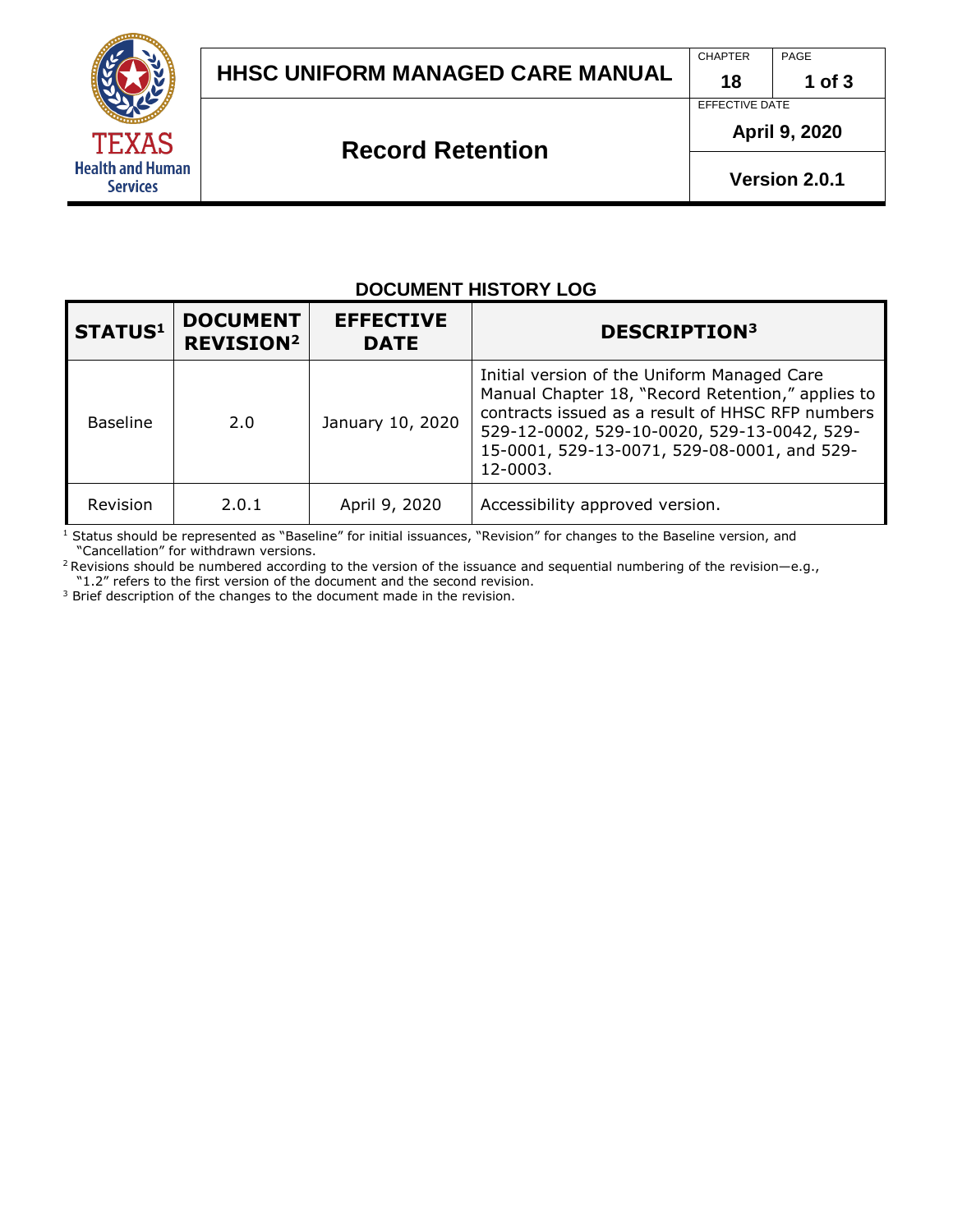

CHAPTER PAGE

**18**

**1 of 3**

# EFFECTIVE DATE

**April 9, 2020** 

**Version 2.0.1**

## **Record Retention**

| <b>DOCUMENT HISTORY LOG</b> |                                                |                                 |                                                                                                                                                                                                                                                                |
|-----------------------------|------------------------------------------------|---------------------------------|----------------------------------------------------------------------------------------------------------------------------------------------------------------------------------------------------------------------------------------------------------------|
| <b>STATUS1</b>              | <b>DOCUMENT</b><br><b>REVISION<sup>2</sup></b> | <b>EFFECTIVE</b><br><b>DATE</b> | <b>DESCRIPTION3</b>                                                                                                                                                                                                                                            |
| <b>Baseline</b>             | 2.0                                            | January 10, 2020                | Initial version of the Uniform Managed Care<br>Manual Chapter 18, "Record Retention," applies to<br>contracts issued as a result of HHSC RFP numbers<br>529-12-0002, 529-10-0020, 529-13-0042, 529-<br>15-0001, 529-13-0071, 529-08-0001, and 529-<br>12-0003. |
| Revision                    | 2.0.1                                          | April 9, 2020                   | Accessibility approved version.                                                                                                                                                                                                                                |

 $1$  Status should be represented as "Baseline" for initial issuances, "Revision" for changes to the Baseline version, and "Cancellation" for withdrawn versions.

<sup>2</sup> Revisions should be numbered according to the version of the issuance and sequential numbering of the revision—e.g., "1.2" refers to the first version of the document and the second revision.

<sup>3</sup> Brief description of the changes to the document made in the revision.

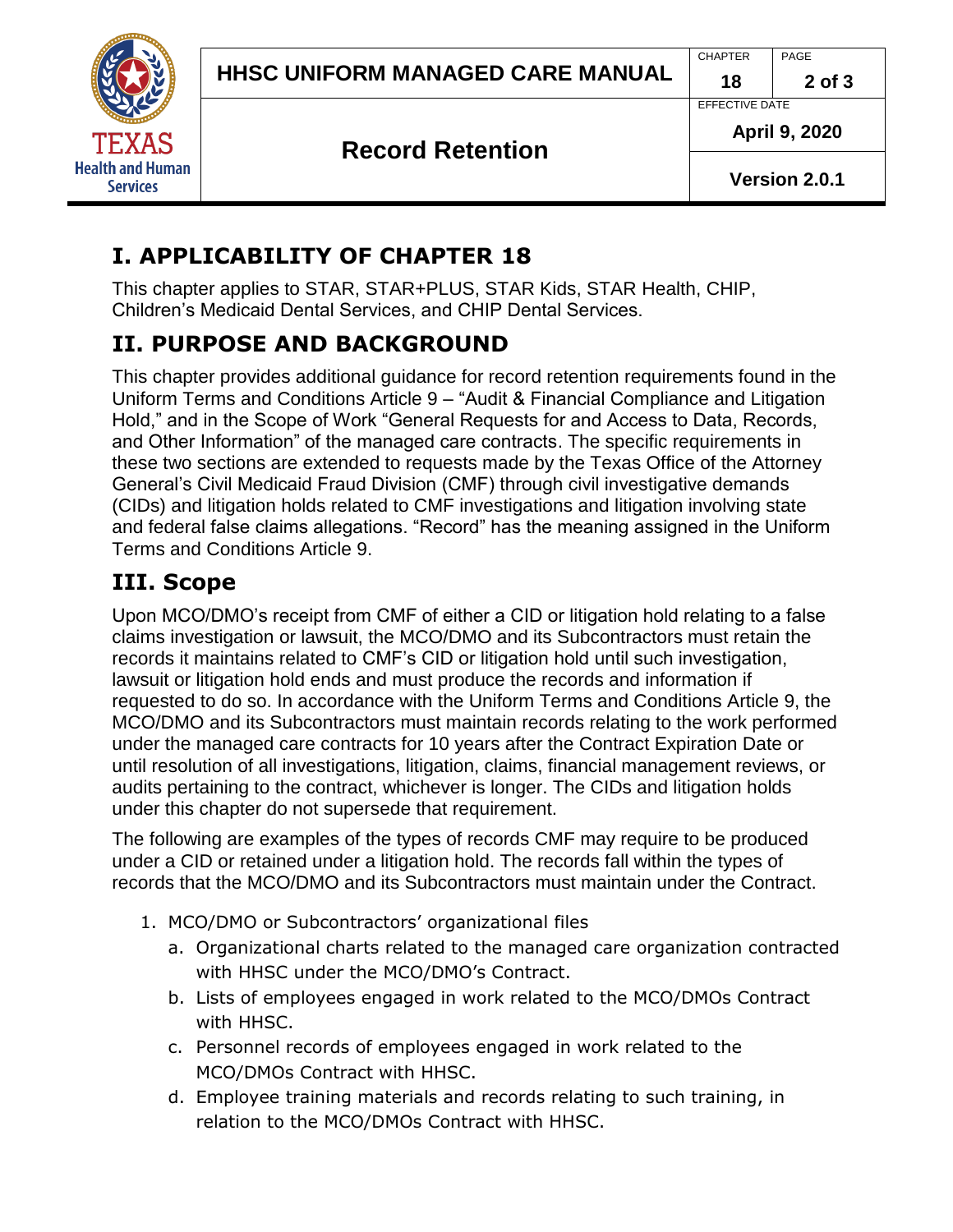

EFFECTIVE DATE

### **Record Retention**

**April 9, 2020**

**Version 2.0.1**

# **I. APPLICABILITY OF CHAPTER 18**

This chapter applies to STAR, STAR+PLUS, STAR Kids, STAR Health, CHIP, Children's Medicaid Dental Services, and CHIP Dental Services.

# **II. PURPOSE AND BACKGROUND**

This chapter provides additional guidance for record retention requirements found in the Uniform Terms and Conditions Article 9 – "Audit & Financial Compliance and Litigation Hold," and in the Scope of Work "General Requests for and Access to Data, Records, and Other Information" of the managed care contracts. The specific requirements in these two sections are extended to requests made by the Texas Office of the Attorney General's Civil Medicaid Fraud Division (CMF) through civil investigative demands (CIDs) and litigation holds related to CMF investigations and litigation involving state and federal false claims allegations. "Record" has the meaning assigned in the Uniform Terms and Conditions Article 9.

### **III. Scope**

Upon MCO/DMO's receipt from CMF of either a CID or litigation hold relating to a false claims investigation or lawsuit, the MCO/DMO and its Subcontractors must retain the records it maintains related to CMF's CID or litigation hold until such investigation, lawsuit or litigation hold ends and must produce the records and information if requested to do so. In accordance with the Uniform Terms and Conditions Article 9, the MCO/DMO and its Subcontractors must maintain records relating to the work performed under the managed care contracts for 10 years after the Contract Expiration Date or until resolution of all investigations, litigation, claims, financial management reviews, or audits pertaining to the contract, whichever is longer. The CIDs and litigation holds under this chapter do not supersede that requirement.

The following are examples of the types of records CMF may require to be produced under a CID or retained under a litigation hold. The records fall within the types of records that the MCO/DMO and its Subcontractors must maintain under the Contract.

- 1. MCO/DMO or Subcontractors' organizational files
	- a. Organizational charts related to the managed care organization contracted with HHSC under the MCO/DMO's Contract.
	- b. Lists of employees engaged in work related to the MCO/DMOs Contract with HHSC.
	- c. Personnel records of employees engaged in work related to the MCO/DMOs Contract with HHSC.
	- d. Employee training materials and records relating to such training, in relation to the MCO/DMOs Contract with HHSC.